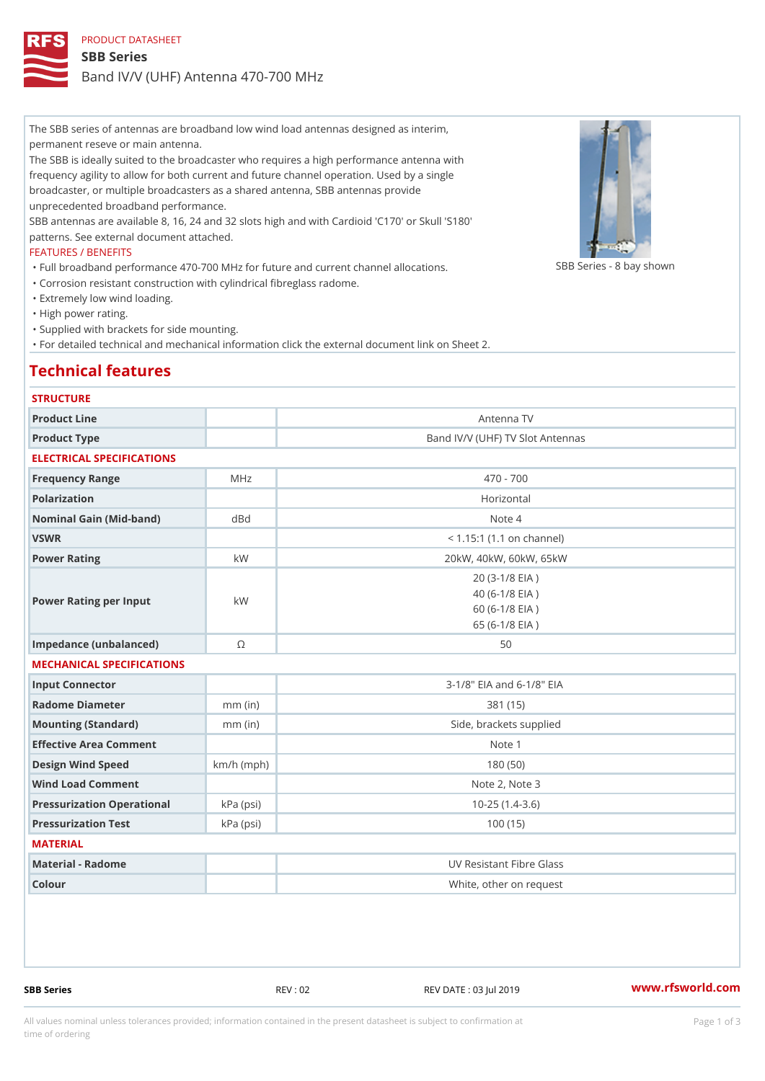The SBB series of antennas are broadband low wind load antennas designed as interim, permanent reseve or main antenna.

The SBB is ideally suited to the broadcaster who requires a high performance antenna with frequency agility to allow for both current and future channel operation. Used by a single broadcaster, or multiple broadcasters as a shared antenna, SBB antennas provide unprecedented broadband performance.

SBB antennas are available 8, 16, 24 and 32 slots high and with Cardioid 'C170' or Skull 'S180' patterns. See external document attached.

## FEATURES / BENEFITS

"Full broadband performance 470–700 MHz for future and current channඹB화lြSeaiteSns 8 bay shown "Corrosion resistant construction with cylindrical fibreglass radome.

"Extremely low wind loading.

"High power rating.

"Supplied with brackets for side mounting.

"For detailed technical and mechanical information click the external document link on Sheet 2.

## Technical features

# **STRUCTURE**

| Product Line              |           | Antenna TV                                                                    |  |
|---------------------------|-----------|-------------------------------------------------------------------------------|--|
| Product Type              |           | Band IV/V (UHF) TV Slot Antennas                                              |  |
| ELECTRICAL SPECIFICATIONS |           |                                                                               |  |
| Frequency Range           | M H z     | $470 - 700$                                                                   |  |
| Polarization              |           | Horizontal                                                                    |  |
| Nominal Gain (Mid-band)   | d B d     | Note 4                                                                        |  |
| VSWR                      |           | $< 1.15:1$ (1.1 on channel)                                                   |  |
| Power Rating              | k W       | 20kW, 40kW, 60kW, 65kW                                                        |  |
| Power Rating per Input    | k W       | $20(3-1/8$ EIA)<br>$40 (6 - 1/8$ EIA)<br>$60 (6 - 1/8$ EIA)<br>65 (6-1/8 EIA) |  |
| Impedance (unbalanced)    | $\odot$   | 50                                                                            |  |
| MECHANICAL SPECIFICATIONS |           |                                                                               |  |
| Input Connector           |           | 3-1/8" EIA and 6-1/8" EIA                                                     |  |
| Radome Diameter           | $mm$ (in) | 381 (15)                                                                      |  |
| Mounting (Standard)       | $mm$ (in) | Side, brackets supplied                                                       |  |

| Mounting (Standard)                | $mm$ (in)    | Side, brackets supplied  |  |  |
|------------------------------------|--------------|--------------------------|--|--|
| Effective Area Comment             |              | Note 1                   |  |  |
| Design Wind Speed                  | $km/h$ (mph) | 180 (50)                 |  |  |
| Wind Load Comment                  |              | Note 2, Note 3           |  |  |
| Pressurization OperationakPa (psi) |              | $10 - 25$ $(1.4 - 3.6)$  |  |  |
| Pressurization Test                | k Pa (psi)   | 100 (15)                 |  |  |
| MATERIAL                           |              |                          |  |  |
| Material - Radome                  |              | UV Resistant Fibre Glass |  |  |
|                                    |              |                          |  |  |

Colour White, other on request

SBB Series The Series REV : 02 REV DATE : 03 Jul 2019 WWW.rfsworld.com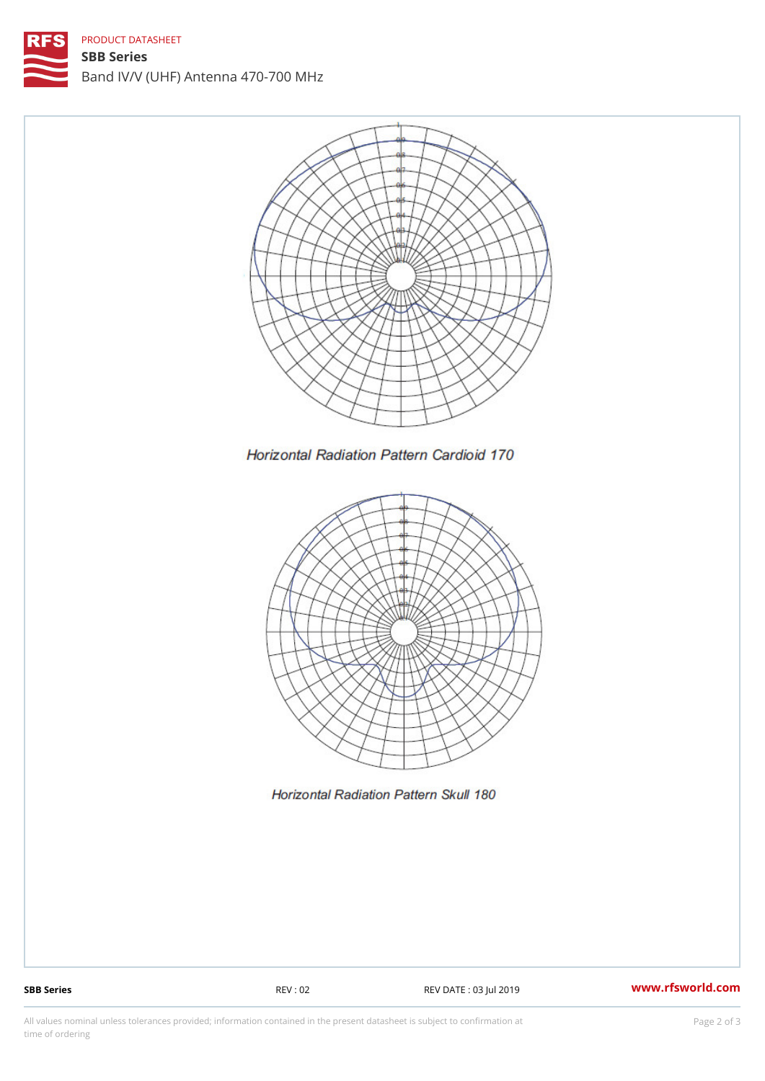# PRODUCT DATASHEET

SBB Series Band IV/V (UHF) Antenna 470-700 MHz

SBB Series REV : 02 REV DATE : 03 Jul 2019 [www.](https://www.rfsworld.com)rfsworld.com

All values nominal unless tolerances provided; information contained in the present datasheet is subject to Pcapgelio an atio time of ordering